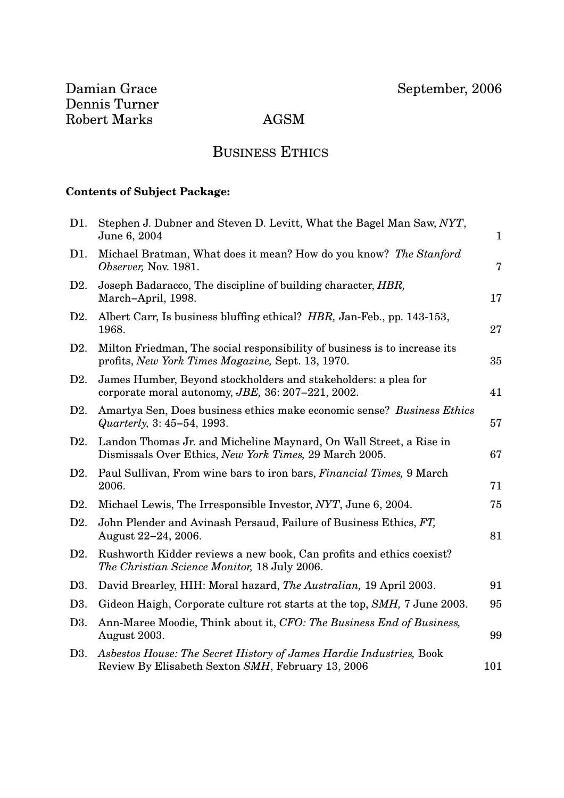## BUSINESS ETHICS

## **Contents of Subject Package:**

| D1.              | Stephen J. Dubner and Steven D. Levitt, What the Bagel Man Saw, NYT,<br>June 6, 2004                                           | $\mathbf{1}$   |
|------------------|--------------------------------------------------------------------------------------------------------------------------------|----------------|
| D1.              | Michael Bratman, What does it mean? How do you know? The Stanford<br>Observer, Nov. 1981.                                      | $\overline{7}$ |
| D2.              | Joseph Badaracco, The discipline of building character, HBR,<br>March-April, 1998.                                             | 17             |
| D <sub>2</sub> . | Albert Carr, Is business bluffing ethical? HBR, Jan-Feb., pp. 143-153,<br>1968.                                                | 27             |
| D2.              | Milton Friedman, The social responsibility of business is to increase its<br>profits, New York Times Magazine, Sept. 13, 1970. | 35             |
| D2.              | James Humber, Beyond stockholders and stakeholders: a plea for<br>corporate moral autonomy, JBE, 36: 207-221, 2002.            | 41             |
| D2.              | Amartya Sen, Does business ethics make economic sense? Business Ethics<br>Quarterly, 3: 45-54, 1993.                           | 57             |
| D2.              | Landon Thomas Jr. and Micheline Maynard, On Wall Street, a Rise in<br>Dismissals Over Ethics, New York Times, 29 March 2005.   | 67             |
| D2.              | Paul Sullivan, From wine bars to iron bars, <i>Financial Times</i> , 9 March<br>2006.                                          | 71             |
| D2.              | Michael Lewis, The Irresponsible Investor, NYT, June 6, 2004.                                                                  | 75             |
| D <sub>2</sub> . | John Plender and Avinash Persaud, Failure of Business Ethics, FT,<br>August 22-24, 2006.                                       | 81             |
| D2.              | Rushworth Kidder reviews a new book, Can profits and ethics coexist?<br>The Christian Science Monitor, 18 July 2006.           |                |
| D <sub>3</sub> . | David Brearley, HIH: Moral hazard, The Australian, 19 April 2003.                                                              | 91             |
| D <sub>3</sub> . | Gideon Haigh, Corporate culture rot starts at the top, SMH, 7 June 2003.                                                       | 95             |
| D3.              | Ann-Maree Moodie, Think about it, CFO: The Business End of Business,<br>August 2003.                                           | 99             |
| D3.              | Asbestos House: The Secret History of James Hardie Industries, Book<br>Review By Elisabeth Sexton SMH, February 13, 2006       | 101            |